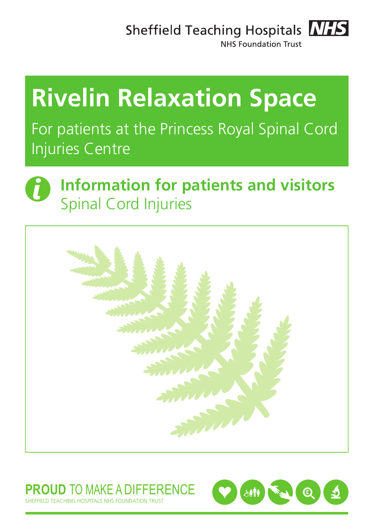Sheffield Teaching Hospitals **NHS** 



**NHS Foundation Trust** 

# **Rivelin Relaxation Space**

For patients at the Princess Royal Spinal Cord Injuries Centre



## **Information for patients and visitors** Spinal Cord Injuries



#### **PROUD** TO MAKE A DIFFERENCE **IFLD TEACHING HOSPITALS NHS FOUNDATION TRUST**

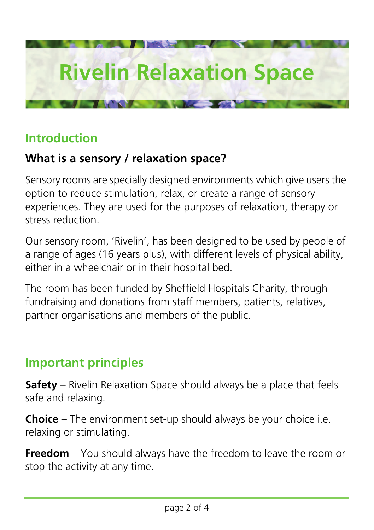

#### **Introduction**

#### **What is a sensory / relaxation space?**

Sensory rooms are specially designed environments which give users the option to reduce stimulation, relax, or create a range of sensory experiences. They are used for the purposes of relaxation, therapy or stress reduction.

Our sensory room, 'Rivelin', has been designed to be used by people of a range of ages (16 years plus), with different levels of physical ability, either in a wheelchair or in their hospital bed.

The room has been funded by Sheffield Hospitals Charity, through fundraising and donations from staff members, patients, relatives, partner organisations and members of the public.

#### **Important principles**

**Safety** – Rivelin Relaxation Space should always be a place that feels safe and relaxing.

**Choice** – The environment set-up should always be your choice i.e. relaxing or stimulating.

**Freedom** – You should always have the freedom to leave the room or stop the activity at any time.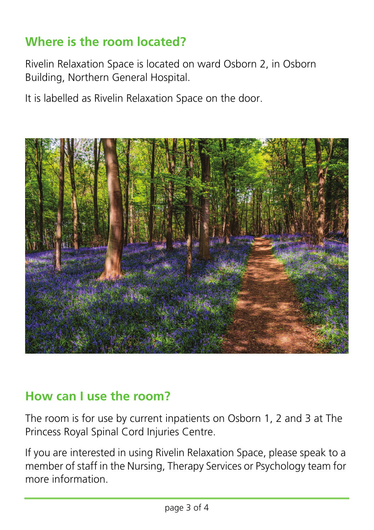## **Where is the room located?**

Rivelin Relaxation Space is located on ward Osborn 2, in Osborn Building, Northern General Hospital.

It is labelled as Rivelin Relaxation Space on the door.



### **How can I use the room?**

The room is for use by current inpatients on Osborn 1, 2 and 3 at The Princess Royal Spinal Cord Injuries Centre.

If you are interested in using Rivelin Relaxation Space, please speak to a member of staff in the Nursing, Therapy Services or Psychology team for more information.